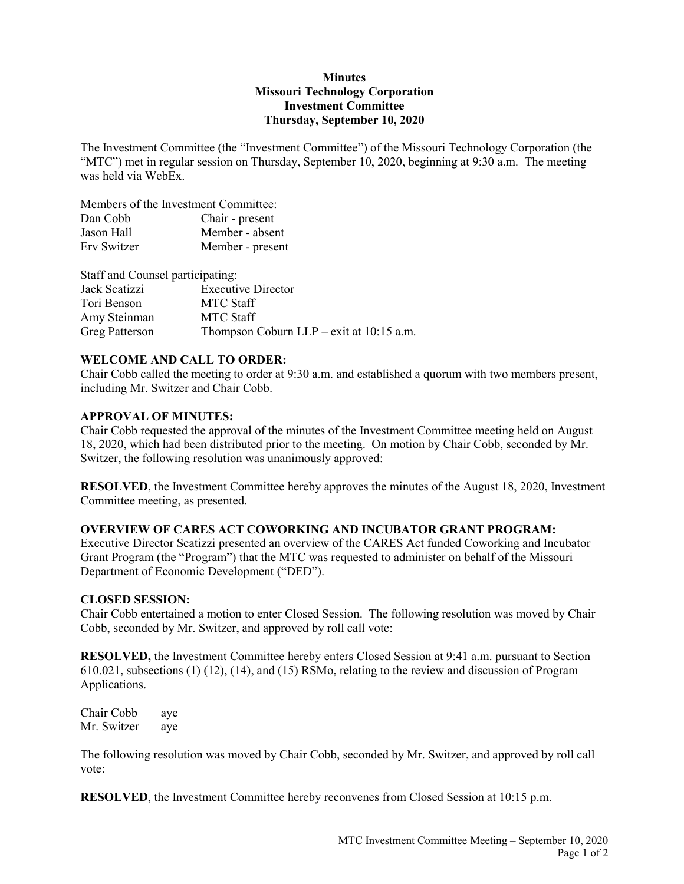## **Minutes Missouri Technology Corporation Investment Committee Thursday, September 10, 2020**

The Investment Committee (the "Investment Committee") of the Missouri Technology Corporation (the "MTC") met in regular session on Thursday, September 10, 2020, beginning at 9:30 a.m. The meeting was held via WebEx.

Members of the Investment Committee:

| Dan Cobb    | Chair - present  |
|-------------|------------------|
| Jason Hall  | Member - absent  |
| Erv Switzer | Member - present |

Staff and Counsel participating:

| Jack Scatizzi         | <b>Executive Director</b>                  |
|-----------------------|--------------------------------------------|
| Tori Benson           | MTC Staff                                  |
| Amy Steinman          | MTC Staff                                  |
| <b>Greg Patterson</b> | Thompson Coburn $LLP$ – exit at 10:15 a.m. |

# **WELCOME AND CALL TO ORDER:**

Chair Cobb called the meeting to order at 9:30 a.m. and established a quorum with two members present, including Mr. Switzer and Chair Cobb.

### **APPROVAL OF MINUTES:**

Chair Cobb requested the approval of the minutes of the Investment Committee meeting held on August 18, 2020, which had been distributed prior to the meeting. On motion by Chair Cobb, seconded by Mr. Switzer, the following resolution was unanimously approved:

**RESOLVED**, the Investment Committee hereby approves the minutes of the August 18, 2020, Investment Committee meeting, as presented.

# **OVERVIEW OF CARES ACT COWORKING AND INCUBATOR GRANT PROGRAM:**

Executive Director Scatizzi presented an overview of the CARES Act funded Coworking and Incubator Grant Program (the "Program") that the MTC was requested to administer on behalf of the Missouri Department of Economic Development ("DED").

#### **CLOSED SESSION:**

Chair Cobb entertained a motion to enter Closed Session. The following resolution was moved by Chair Cobb, seconded by Mr. Switzer, and approved by roll call vote:

**RESOLVED,** the Investment Committee hereby enters Closed Session at 9:41 a.m. pursuant to Section 610.021, subsections (1) (12), (14), and (15) RSMo, relating to the review and discussion of Program Applications.

Chair Cobb aye Mr. Switzer aye

The following resolution was moved by Chair Cobb, seconded by Mr. Switzer, and approved by roll call vote:

**RESOLVED**, the Investment Committee hereby reconvenes from Closed Session at 10:15 p.m.